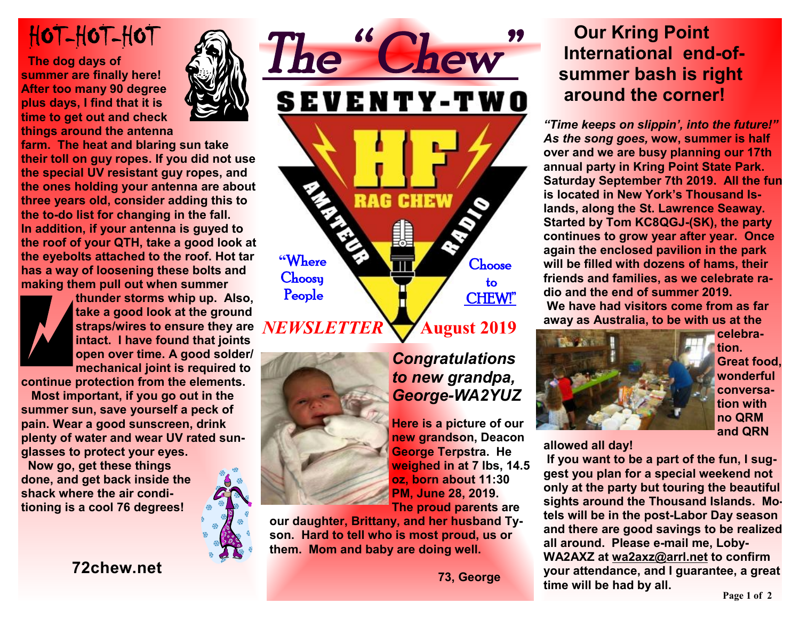# HOT-HOT-HOT

 **The dog days of summer are finally here! After too many 90 degree plus days, I find that it is time to get out and check things around the antenna** 



**farm. The heat and blaring sun take their toll on guy ropes. If you did not use the special UV resistant guy ropes, and the ones holding your antenna are about three years old, consider adding this to the to-do list for changing in the fall. In addition, if your antenna is guyed to the roof of your QTH, take a good look at the eyebolts attached to the roof. Hot tar has a way of loosening these bolts and making them pull out when summer** 



**thunder storms whip up. Also, take a good look at the ground straps/wires to ensure they are**  *NEWSLETTER* **intact. I have found that joints open over time. A good solder/ mechanical joint is required to** 

**continue protection from the elements.** 

 **Most important, if you go out in the summer sun, save yourself a peck of pain. Wear a good sunscreen, drink plenty of water and wear UV rated sunglasses to protect your eyes.** 

 **Now go, get these things done, and get back inside the shack where the air conditioning is a cool 76 degrees!** 





*Congratulations to new grandpa, George-WA2YUZ* 

**Here is a picture of our new grandson, Deacon George Terpstra. He weighed in at 7 lbs, 14.5 oz, born about 11:30 PM, June 28, 2019.** 

**The proud parents are** 

**our daughter, Brittany, and her husband Tyson. Hard to tell who is most proud, us or them. Mom and baby are doing well.** 

 **73, George** 

# **Our Kring Point International end-of summer bash is right around the corner!**

*"Time keeps on slippin', into the future!" As the song goes,* **wow, summer is half over and we are busy planning our 17th annual party in Kring Point State Park. Saturday September 7th 2019. All the fun is located in New York's Thousand Islands, along the St. Lawrence Seaway. Started by Tom KC8QGJ-(SK), the party continues to grow year after year. Once again the enclosed pavilion in the park will be filled with dozens of hams, their friends and families, as we celebrate radio and the end of summer 2019. We have had visitors come from as far away as Australia, to be with us at the** 



**celebration. Great food, wonderful conversation with no QRM** 

**and QRN** 

**allowed all day!** 

 **If you want to be a part of the fun, I suggest you plan for a special weekend not only at the party but touring the beautiful sights around the Thousand Islands. Motels will be in the post-Labor Day season and there are good savings to be realized all around. Please e-mail me, Loby-WA2AXZ at [wa2axz@arrl.net](mailto:wa2axz@arrl.net) to confirm your attendance, and I guarantee, a great time will be had by all.**